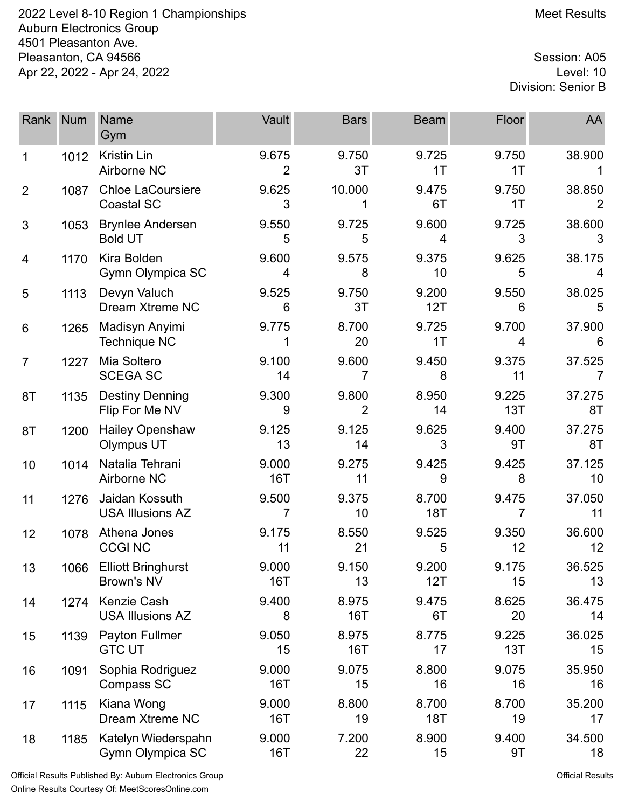2022 Level 8-10 Region 1 Championships Meet Results Auburn Electronics Group 4501 Pleasanton Ave. Pleasanton, CA 94566 Session: A05<br>Apr 22, 2022 - Apr 24, 2022 Apr 22, 2022 - Apr 24, 2022

Division: Senior B

| Rank           | <b>Num</b> | <b>Name</b><br>Gym                            | Vault                   | <b>Bars</b>         | <b>Beam</b>         | Floor        | AA           |
|----------------|------------|-----------------------------------------------|-------------------------|---------------------|---------------------|--------------|--------------|
| 1              | 1012       | <b>Kristin Lin</b><br>Airborne NC             | 9.675<br>$\overline{2}$ | 9.750<br>3T         | 9.725<br>1T         | 9.750<br>1T  | 38.900       |
| $\overline{2}$ | 1087       | <b>Chloe LaCoursiere</b><br><b>Coastal SC</b> | 9.625<br>3              | 10.000              | 9.475<br>6T         | 9.750<br>1T  | 38.850<br>2  |
| 3              | 1053       | <b>Brynlee Andersen</b><br><b>Bold UT</b>     | 9.550<br>5              | 9.725<br>5          | 9.600<br>4          | 9.725<br>3   | 38.600<br>3  |
| 4              | 1170       | Kira Bolden<br>Gymn Olympica SC               | 9.600<br>4              | 9.575<br>8          | 9.375<br>10         | 9.625<br>5   | 38.175<br>4  |
| 5              | 1113       | Devyn Valuch<br>Dream Xtreme NC               | 9.525<br>6              | 9.750<br>3T         | 9.200<br>12T        | 9.550<br>6   | 38.025<br>5  |
| 6              | 1265       | Madisyn Anyimi<br><b>Technique NC</b>         | 9.775<br>1              | 8.700<br>20         | 9.725<br>1T         | 9.700<br>4   | 37.900<br>6  |
| $\overline{7}$ | 1227       | Mia Soltero<br><b>SCEGA SC</b>                | 9.100<br>14             | 9.600<br>7          | 9.450<br>8          | 9.375<br>11  | 37.525       |
| 8T             | 1135       | <b>Destiny Denning</b><br>Flip For Me NV      | 9.300<br>9              | 9.800<br>2          | 8.950<br>14         | 9.225<br>13T | 37.275<br>8T |
| 8T             | 1200       | <b>Hailey Openshaw</b><br>Olympus UT          | 9.125<br>13             | 9.125<br>14         | 9.625<br>3          | 9.400<br>9T  | 37.275<br>8T |
| 10             | 1014       | Natalia Tehrani<br>Airborne NC                | 9.000<br>16T            | 9.275<br>11         | 9.425<br>9          | 9.425<br>8   | 37.125<br>10 |
| 11             | 1276       | Jaidan Kossuth<br><b>USA Illusions AZ</b>     | 9.500<br>7              | 9.375<br>10         | 8.700<br><b>18T</b> | 9.475<br>7   | 37.050<br>11 |
| 12             | 1078       | Athena Jones<br><b>CCGI NC</b>                | 9.175<br>11             | 8.550<br>21         | 9.525<br>5          | 9.350<br>12  | 36.600<br>12 |
| 13             | 1066       | <b>Elliott Bringhurst</b><br>Brown's NV       | 9.000<br><b>16T</b>     | 9.150<br>13         | 9.200<br>12T        | 9.175<br>15  | 36.525<br>13 |
| 14             | 1274       | Kenzie Cash<br><b>USA Illusions AZ</b>        | 9.400<br>8              | 8.975<br><b>16T</b> | 9.475<br>6T         | 8.625<br>20  | 36.475<br>14 |
| 15             | 1139       | Payton Fullmer<br><b>GTC UT</b>               | 9.050<br>15             | 8.975<br>16T        | 8.775<br>17         | 9.225<br>13T | 36.025<br>15 |
| 16             | 1091       | Sophia Rodriguez<br>Compass SC                | 9.000<br>16T            | 9.075<br>15         | 8.800<br>16         | 9.075<br>16  | 35.950<br>16 |
| 17             | 1115       | Kiana Wong<br>Dream Xtreme NC                 | 9.000<br>16T            | 8.800<br>19         | 8.700<br><b>18T</b> | 8.700<br>19  | 35.200<br>17 |
| 18             | 1185       | Katelyn Wiederspahn<br>Gymn Olympica SC       | 9.000<br>16T            | 7.200<br>22         | 8.900<br>15         | 9.400<br>9T  | 34.500<br>18 |

Official Results Published By: Auburn Electronics Group Online Results Courtesy Of: [MeetScoresOnline.com](http://www.meetscoresonline.com)